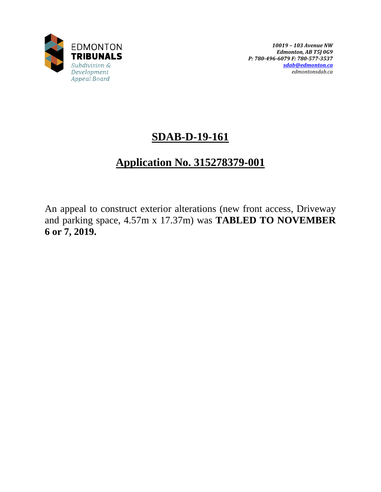

# **SDAB-D-19-161**

# **Application No. 315278379-001**

An appeal to construct exterior alterations (new front access, Driveway and parking space, 4.57m x 17.37m) was **TABLED TO NOVEMBER 6 or 7, 2019.**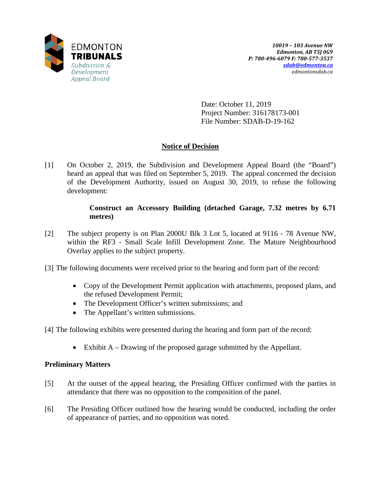

Date: October 11, 2019 Project Number: 316178173-001 File Number: SDAB-D-19-162

# **Notice of Decision**

[1] On October 2, 2019, the Subdivision and Development Appeal Board (the "Board") heard an appeal that was filed on September 5, 2019. The appeal concerned the decision of the Development Authority, issued on August 30, 2019, to refuse the following development:

## **Construct an Accessory Building (detached Garage, 7.32 metres by 6.71 metres)**

- [2] The subject property is on Plan 2000U Blk 3 Lot 5, located at 9116 78 Avenue NW, within the RF3 - Small Scale Infill Development Zone. The Mature Neighbourhood Overlay applies to the subject property.
- [3] The following documents were received prior to the hearing and form part of the record:
	- Copy of the Development Permit application with attachments, proposed plans, and the refused Development Permit;
	- The Development Officer's written submissions; and
	- The Appellant's written submissions.

[4] The following exhibits were presented during the hearing and form part of the record:

• Exhibit A – Drawing of the proposed garage submitted by the Appellant.

## **Preliminary Matters**

- [5] At the outset of the appeal hearing, the Presiding Officer confirmed with the parties in attendance that there was no opposition to the composition of the panel.
- [6] The Presiding Officer outlined how the hearing would be conducted, including the order of appearance of parties, and no opposition was noted.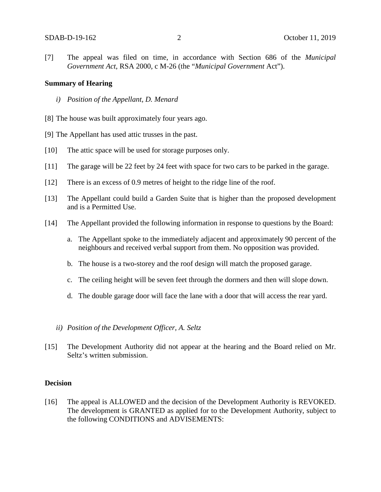[7] The appeal was filed on time, in accordance with Section 686 of the *Municipal Government Act*, RSA 2000, c M-26 (the "*Municipal Government* Act").

## **Summary of Hearing**

- *i) Position of the Appellant, D. Menard*
- [8] The house was built approximately four years ago.
- [9] The Appellant has used attic trusses in the past.
- [10] The attic space will be used for storage purposes only.
- [11] The garage will be 22 feet by 24 feet with space for two cars to be parked in the garage.
- [12] There is an excess of 0.9 metres of height to the ridge line of the roof.
- [13] The Appellant could build a Garden Suite that is higher than the proposed development and is a Permitted Use.
- [14] The Appellant provided the following information in response to questions by the Board:
	- a. The Appellant spoke to the immediately adjacent and approximately 90 percent of the neighbours and received verbal support from them. No opposition was provided.
	- b. The house is a two-storey and the roof design will match the proposed garage.
	- c. The ceiling height will be seven feet through the dormers and then will slope down.
	- d. The double garage door will face the lane with a door that will access the rear yard.
	- *ii) Position of the Development Officer, A. Seltz*
- [15] The Development Authority did not appear at the hearing and the Board relied on Mr. Seltz's written submission.

## **Decision**

[16] The appeal is ALLOWED and the decision of the Development Authority is REVOKED. The development is GRANTED as applied for to the Development Authority, subject to the following CONDITIONS and ADVISEMENTS: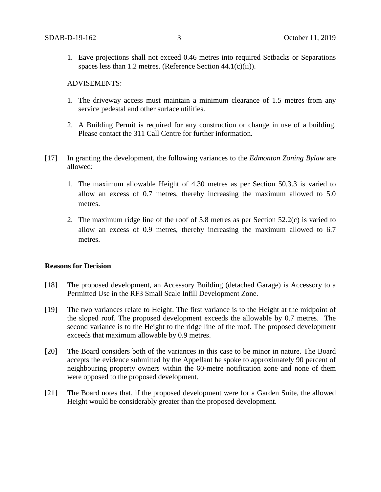1. Eave projections shall not exceed 0.46 metres into required Setbacks or Separations spaces less than 1.2 metres. (Reference Section 44.1(c)(ii)).

#### ADVISEMENTS:

- 1. The driveway access must maintain a minimum clearance of 1.5 metres from any service pedestal and other surface utilities.
- 2. A Building Permit is required for any construction or change in use of a building. Please contact the 311 Call Centre for further information.
- [17] In granting the development, the following variances to the *Edmonton Zoning Bylaw* are allowed:
	- 1. The maximum allowable Height of 4.30 metres as per Section 50.3.3 is varied to allow an excess of 0.7 metres, thereby increasing the maximum allowed to 5.0 metres.
	- 2. The maximum ridge line of the roof of 5.8 metres as per Section 52.2(c) is varied to allow an excess of 0.9 metres, thereby increasing the maximum allowed to 6.7 metres.

### **Reasons for Decision**

- [18] The proposed development, an Accessory Building (detached Garage) is Accessory to a Permitted Use in the RF3 Small Scale Infill Development Zone.
- [19] The two variances relate to Height. The first variance is to the Height at the midpoint of the sloped roof. The proposed development exceeds the allowable by 0.7 metres. The second variance is to the Height to the ridge line of the roof. The proposed development exceeds that maximum allowable by 0.9 metres.
- [20] The Board considers both of the variances in this case to be minor in nature. The Board accepts the evidence submitted by the Appellant he spoke to approximately 90 percent of neighbouring property owners within the 60-metre notification zone and none of them were opposed to the proposed development.
- [21] The Board notes that, if the proposed development were for a Garden Suite, the allowed Height would be considerably greater than the proposed development.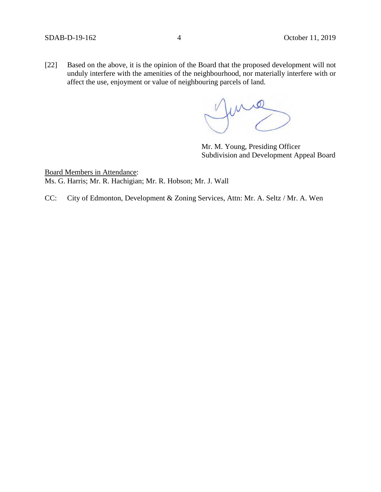[22] Based on the above, it is the opinion of the Board that the proposed development will not unduly interfere with the amenities of the neighbourhood, nor materially interfere with or affect the use, enjoyment or value of neighbouring parcels of land.

June

Mr. M. Young, Presiding Officer Subdivision and Development Appeal Board

Board Members in Attendance: Ms. G. Harris; Mr. R. Hachigian; Mr. R. Hobson; Mr. J. Wall

CC: City of Edmonton, Development & Zoning Services, Attn: Mr. A. Seltz / Mr. A. Wen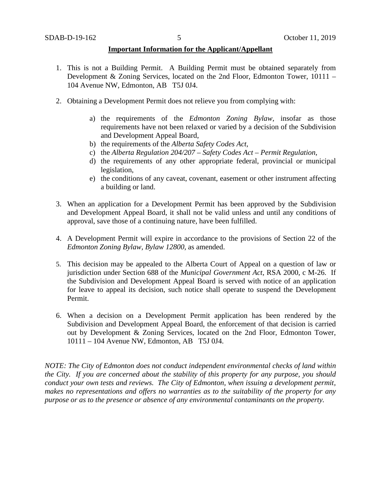### **Important Information for the Applicant/Appellant**

- 1. This is not a Building Permit. A Building Permit must be obtained separately from Development & Zoning Services, located on the 2nd Floor, Edmonton Tower, 10111 – 104 Avenue NW, Edmonton, AB T5J 0J4.
- 2. Obtaining a Development Permit does not relieve you from complying with:
	- a) the requirements of the *Edmonton Zoning Bylaw*, insofar as those requirements have not been relaxed or varied by a decision of the Subdivision and Development Appeal Board,
	- b) the requirements of the *Alberta Safety Codes Act*,
	- c) the *Alberta Regulation 204/207 – Safety Codes Act – Permit Regulation*,
	- d) the requirements of any other appropriate federal, provincial or municipal legislation,
	- e) the conditions of any caveat, covenant, easement or other instrument affecting a building or land.
- 3. When an application for a Development Permit has been approved by the Subdivision and Development Appeal Board, it shall not be valid unless and until any conditions of approval, save those of a continuing nature, have been fulfilled.
- 4. A Development Permit will expire in accordance to the provisions of Section 22 of the *Edmonton Zoning Bylaw, Bylaw 12800*, as amended.
- 5. This decision may be appealed to the Alberta Court of Appeal on a question of law or jurisdiction under Section 688 of the *Municipal Government Act*, RSA 2000, c M-26. If the Subdivision and Development Appeal Board is served with notice of an application for leave to appeal its decision, such notice shall operate to suspend the Development Permit.
- 6. When a decision on a Development Permit application has been rendered by the Subdivision and Development Appeal Board, the enforcement of that decision is carried out by Development & Zoning Services, located on the 2nd Floor, Edmonton Tower, 10111 – 104 Avenue NW, Edmonton, AB T5J 0J4.

*NOTE: The City of Edmonton does not conduct independent environmental checks of land within the City. If you are concerned about the stability of this property for any purpose, you should conduct your own tests and reviews. The City of Edmonton, when issuing a development permit, makes no representations and offers no warranties as to the suitability of the property for any purpose or as to the presence or absence of any environmental contaminants on the property.*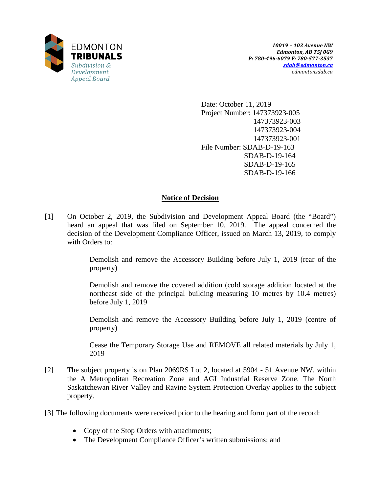

Date: October 11, 2019 Project Number: 147373923-005 147373923-003 147373923-004 147373923-001 File Number: SDAB-D-19-163 SDAB-D-19-164 SDAB-D-19-165 SDAB-D-19-166

# **Notice of Decision**

[1] On October 2, 2019, the Subdivision and Development Appeal Board (the "Board") heard an appeal that was filed on September 10, 2019. The appeal concerned the decision of the Development Compliance Officer, issued on March 13, 2019, to comply with Orders to:

> Demolish and remove the Accessory Building before July 1, 2019 (rear of the property)

> Demolish and remove the covered addition (cold storage addition located at the northeast side of the principal building measuring 10 metres by 10.4 metres) before July 1, 2019

> Demolish and remove the Accessory Building before July 1, 2019 (centre of property)

> Cease the Temporary Storage Use and REMOVE all related materials by July 1, 2019

- [2] The subject property is on Plan 2069RS Lot 2, located at 5904 51 Avenue NW, within the A Metropolitan Recreation Zone and AGI Industrial Reserve Zone. The North Saskatchewan River Valley and Ravine System Protection Overlay applies to the subject property.
- [3] The following documents were received prior to the hearing and form part of the record:
	- Copy of the Stop Orders with attachments;
	- The Development Compliance Officer's written submissions; and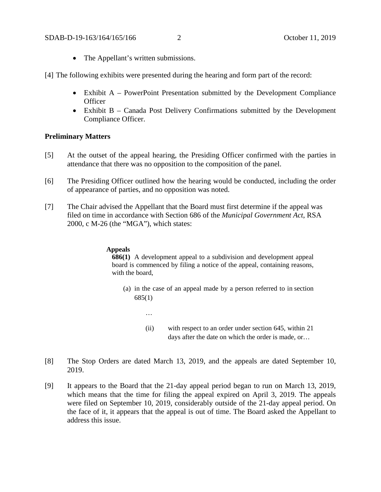- The Appellant's written submissions.
- [4] The following exhibits were presented during the hearing and form part of the record:
	- Exhibit A PowerPoint Presentation submitted by the Development Compliance **Officer**
	- Exhibit B Canada Post Delivery Confirmations submitted by the Development Compliance Officer.

### **Preliminary Matters**

- [5] At the outset of the appeal hearing, the Presiding Officer confirmed with the parties in attendance that there was no opposition to the composition of the panel.
- [6] The Presiding Officer outlined how the hearing would be conducted, including the order of appearance of parties, and no opposition was noted.
- [7] The Chair advised the Appellant that the Board must first determine if the appeal was filed on time in accordance with Section 686 of the *Municipal Government Act*, RSA 2000, c M-26 (the "MGA"), which states:

#### **Appeals**

…

**686(1)** A development appeal to a subdivision and development appeal board is commenced by filing a notice of the appeal, containing reasons, with the board,

- (a) in the case of an appeal made by a person referred to in section 685(1)
	- (ii) with respect to an order under section 645, within 21 days after the date on which the order is made, or…
- [8] The Stop Orders are dated March 13, 2019, and the appeals are dated September 10, 2019.
- [9] It appears to the Board that the 21-day appeal period began to run on March 13, 2019, which means that the time for filing the appeal expired on April 3, 2019. The appeals were filed on September 10, 2019, considerably outside of the 21-day appeal period. On the face of it, it appears that the appeal is out of time. The Board asked the Appellant to address this issue.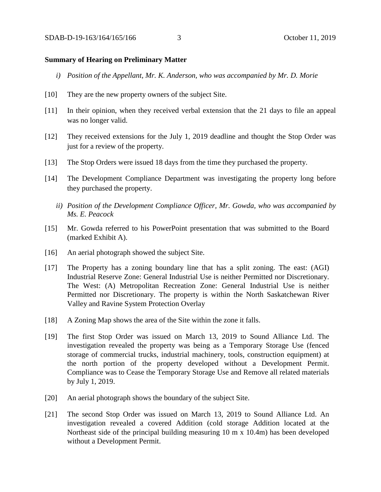## **Summary of Hearing on Preliminary Matter**

- *i) Position of the Appellant, Mr. K. Anderson, who was accompanied by Mr. D. Morie*
- [10] They are the new property owners of the subject Site.
- [11] In their opinion, when they received verbal extension that the 21 days to file an appeal was no longer valid.
- [12] They received extensions for the July 1, 2019 deadline and thought the Stop Order was just for a review of the property.
- [13] The Stop Orders were issued 18 days from the time they purchased the property.
- [14] The Development Compliance Department was investigating the property long before they purchased the property.
	- *ii) Position of the Development Compliance Officer, Mr. Gowda, who was accompanied by Ms. E. Peacock*
- [15] Mr. Gowda referred to his PowerPoint presentation that was submitted to the Board (marked Exhibit A).
- [16] An aerial photograph showed the subject Site.
- [17] The Property has a zoning boundary line that has a split zoning. The east: (AGI) Industrial Reserve Zone: General Industrial Use is neither Permitted nor Discretionary. The West: (A) Metropolitan Recreation Zone: General Industrial Use is neither Permitted nor Discretionary. The property is within the North Saskatchewan River Valley and Ravine System Protection Overlay
- [18] A Zoning Map shows the area of the Site within the zone it falls.
- [19] The first Stop Order was issued on March 13, 2019 to Sound Alliance Ltd. The investigation revealed the property was being as a Temporary Storage Use (fenced storage of commercial trucks, industrial machinery, tools, construction equipment) at the north portion of the property developed without a Development Permit. Compliance was to Cease the Temporary Storage Use and Remove all related materials by July 1, 2019.
- [20] An aerial photograph shows the boundary of the subject Site.
- [21] The second Stop Order was issued on March 13, 2019 to Sound Alliance Ltd. An investigation revealed a covered Addition (cold storage Addition located at the Northeast side of the principal building measuring 10 m x 10.4m) has been developed without a Development Permit.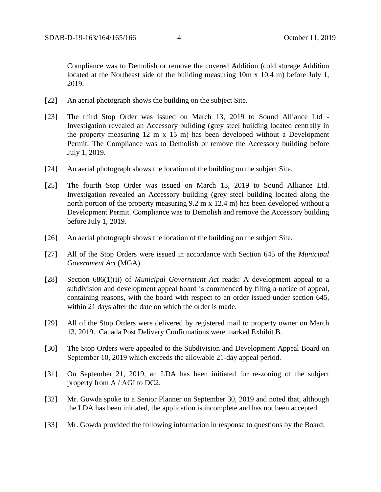Compliance was to Demolish or remove the covered Addition (cold storage Addition located at the Northeast side of the building measuring 10m x 10.4 m) before July 1, 2019.

- [22] An aerial photograph shows the building on the subject Site.
- [23] The third Stop Order was issued on March 13, 2019 to Sound Alliance Ltd Investigation revealed an Accessory building (grey steel building located centrally in the property measuring 12 m x 15 m) has been developed without a Development Permit. The Compliance was to Demolish or remove the Accessory building before July 1, 2019.
- [24] An aerial photograph shows the location of the building on the subject Site.
- [25] The fourth Stop Order was issued on March 13, 2019 to Sound Alliance Ltd. Investigation revealed an Accessory building (grey steel building located along the north portion of the property measuring 9.2 m x 12.4 m) has been developed without a Development Permit. Compliance was to Demolish and remove the Accessory building before July 1, 2019.
- [26] An aerial photograph shows the location of the building on the subject Site.
- [27] All of the Stop Orders were issued in accordance with Section 645 of the *Municipal Government Act* (MGA).
- [28] Section 686(1)(ii) of *Municipal Government Act* reads: A development appeal to a subdivision and development appeal board is commenced by filing a notice of appeal, containing reasons, with the board with respect to an order issued under section 645, within 21 days after the date on which the order is made.
- [29] All of the Stop Orders were delivered by registered mail to property owner on March 13, 2019. Canada Post Delivery Confirmations were marked Exhibit B.
- [30] The Stop Orders were appealed to the Subdivision and Development Appeal Board on September 10, 2019 which exceeds the allowable 21-day appeal period.
- [31] On September 21, 2019, an LDA has been initiated for re-zoning of the subject property from A / AGI to DC2.
- [32] Mr. Gowda spoke to a Senior Planner on September 30, 2019 and noted that, although the LDA has been initiated, the application is incomplete and has not been accepted.
- [33] Mr. Gowda provided the following information in response to questions by the Board: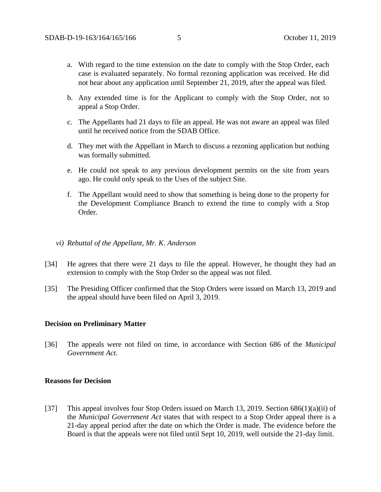- a. With regard to the time extension on the date to comply with the Stop Order, each case is evaluated separately. No formal rezoning application was received. He did not hear about any application until September 21, 2019, after the appeal was filed.
- b. Any extended time is for the Applicant to comply with the Stop Order, not to appeal a Stop Order.
- c. The Appellants had 21 days to file an appeal. He was not aware an appeal was filed until he received notice from the SDAB Office.
- d. They met with the Appellant in March to discuss a rezoning application but nothing was formally submitted.
- e. He could not speak to any previous development permits on the site from years ago. He could only speak to the Uses of the subject Site.
- f. The Appellant would need to show that something is being done to the property for the Development Compliance Branch to extend the time to comply with a Stop Order.
- *vi) Rebuttal of the Appellant, Mr. K. Anderson*
- [34] He agrees that there were 21 days to file the appeal. However, he thought they had an extension to comply with the Stop Order so the appeal was not filed.
- [35] The Presiding Officer confirmed that the Stop Orders were issued on March 13, 2019 and the appeal should have been filed on April 3, 2019.

#### **Decision on Preliminary Matter**

[36] The appeals were not filed on time, in accordance with Section 686 of the *Municipal Government Act*.

#### **Reasons for Decision**

[37] This appeal involves four Stop Orders issued on March 13, 2019. Section  $686(1)(a)(ii)$  of the *Municipal Government Act* states that with respect to a Stop Order appeal there is a 21-day appeal period after the date on which the Order is made. The evidence before the Board is that the appeals were not filed until Sept 10, 2019, well outside the 21-day limit.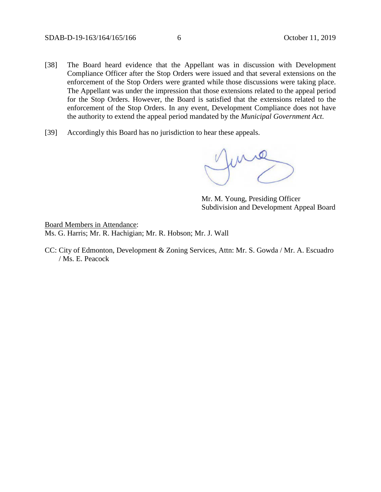- [38] The Board heard evidence that the Appellant was in discussion with Development Compliance Officer after the Stop Orders were issued and that several extensions on the enforcement of the Stop Orders were granted while those discussions were taking place. The Appellant was under the impression that those extensions related to the appeal period for the Stop Orders. However, the Board is satisfied that the extensions related to the enforcement of the Stop Orders. In any event, Development Compliance does not have the authority to extend the appeal period mandated by the *Municipal Government Act*.
- [39] Accordingly this Board has no jurisdiction to hear these appeals.

June

Mr. M. Young, Presiding Officer Subdivision and Development Appeal Board

Board Members in Attendance: Ms. G. Harris; Mr. R. Hachigian; Mr. R. Hobson; Mr. J. Wall

CC: City of Edmonton, Development & Zoning Services, Attn: Mr. S. Gowda / Mr. A. Escuadro / Ms. E. Peacock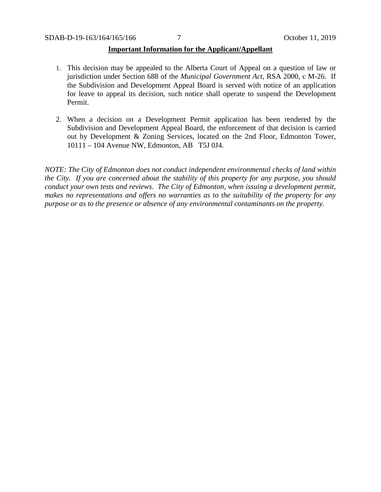## **Important Information for the Applicant/Appellant**

- 1. This decision may be appealed to the Alberta Court of Appeal on a question of law or jurisdiction under Section 688 of the *Municipal Government Act*, RSA 2000, c M-26. If the Subdivision and Development Appeal Board is served with notice of an application for leave to appeal its decision, such notice shall operate to suspend the Development Permit.
- 2. When a decision on a Development Permit application has been rendered by the Subdivision and Development Appeal Board, the enforcement of that decision is carried out by Development & Zoning Services, located on the 2nd Floor, Edmonton Tower, 10111 – 104 Avenue NW, Edmonton, AB T5J 0J4.

*NOTE: The City of Edmonton does not conduct independent environmental checks of land within the City. If you are concerned about the stability of this property for any purpose, you should conduct your own tests and reviews. The City of Edmonton, when issuing a development permit, makes no representations and offers no warranties as to the suitability of the property for any purpose or as to the presence or absence of any environmental contaminants on the property.*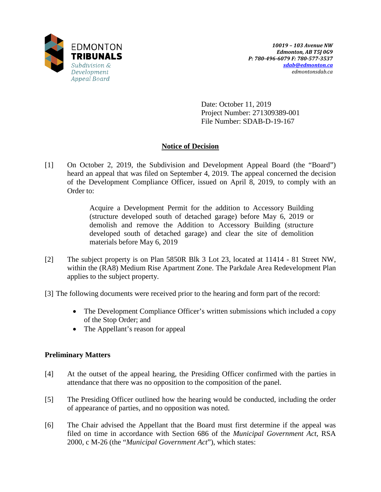

Date: October 11, 2019 Project Number: 271309389-001 File Number: SDAB-D-19-167

# **Notice of Decision**

[1] On October 2, 2019, the Subdivision and Development Appeal Board (the "Board") heard an appeal that was filed on September 4, 2019. The appeal concerned the decision of the Development Compliance Officer, issued on April 8, 2019, to comply with an Order to:

> Acquire a Development Permit for the addition to Accessory Building (structure developed south of detached garage) before May 6, 2019 or demolish and remove the Addition to Accessory Building (structure developed south of detached garage) and clear the site of demolition materials before May 6, 2019

[2] The subject property is on Plan 5850R Blk 3 Lot 23, located at 11414 - 81 Street NW, within the (RA8) Medium Rise Apartment Zone. The Parkdale Area Redevelopment Plan applies to the subject property.

[3] The following documents were received prior to the hearing and form part of the record:

- The Development Compliance Officer's written submissions which included a copy of the Stop Order; and
- The Appellant's reason for appeal

# **Preliminary Matters**

- [4] At the outset of the appeal hearing, the Presiding Officer confirmed with the parties in attendance that there was no opposition to the composition of the panel.
- [5] The Presiding Officer outlined how the hearing would be conducted, including the order of appearance of parties, and no opposition was noted.
- [6] The Chair advised the Appellant that the Board must first determine if the appeal was filed on time in accordance with Section 686 of the *Municipal Government Act*, RSA 2000, c M-26 (the "*Municipal Government Act*"), which states: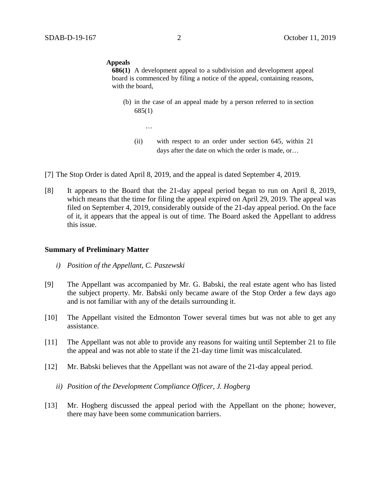#### **Appeals**

**686(1)** A development appeal to a subdivision and development appeal board is commenced by filing a notice of the appeal, containing reasons, with the board,

- (b) in the case of an appeal made by a person referred to in section 685(1)
	- (ii) with respect to an order under section 645, within 21 days after the date on which the order is made, or…
- [7] The Stop Order is dated April 8, 2019, and the appeal is dated September 4, 2019.

…

[8] It appears to the Board that the 21-day appeal period began to run on April 8, 2019, which means that the time for filing the appeal expired on April 29, 2019. The appeal was filed on September 4, 2019, considerably outside of the 21-day appeal period. On the face of it, it appears that the appeal is out of time. The Board asked the Appellant to address this issue.

### **Summary of Preliminary Matter**

- *i) Position of the Appellant, C. Paszewski*
- [9] The Appellant was accompanied by Mr. G. Babski, the real estate agent who has listed the subject property. Mr. Babski only became aware of the Stop Order a few days ago and is not familiar with any of the details surrounding it.
- [10] The Appellant visited the Edmonton Tower several times but was not able to get any assistance.
- [11] The Appellant was not able to provide any reasons for waiting until September 21 to file the appeal and was not able to state if the 21-day time limit was miscalculated.
- [12] Mr. Babski believes that the Appellant was not aware of the 21-day appeal period.
	- *ii) Position of the Development Compliance Officer, J. Hogberg*
- [13] Mr. Hogberg discussed the appeal period with the Appellant on the phone; however, there may have been some communication barriers.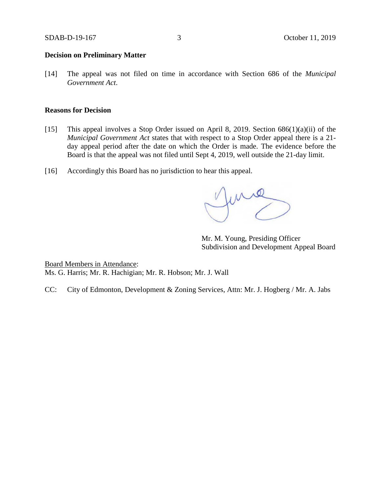## **Decision on Preliminary Matter**

[14] The appeal was not filed on time in accordance with Section 686 of the *Municipal Government Act*.

#### **Reasons for Decision**

- [15] This appeal involves a Stop Order issued on April 8, 2019. Section 686(1)(a)(ii) of the *Municipal Government Act* states that with respect to a Stop Order appeal there is a 21 day appeal period after the date on which the Order is made. The evidence before the Board is that the appeal was not filed until Sept 4, 2019, well outside the 21-day limit.
- [16] Accordingly this Board has no jurisdiction to hear this appeal.

June

Mr. M. Young, Presiding Officer Subdivision and Development Appeal Board

Board Members in Attendance: Ms. G. Harris; Mr. R. Hachigian; Mr. R. Hobson; Mr. J. Wall

CC: City of Edmonton, Development & Zoning Services, Attn: Mr. J. Hogberg / Mr. A. Jabs